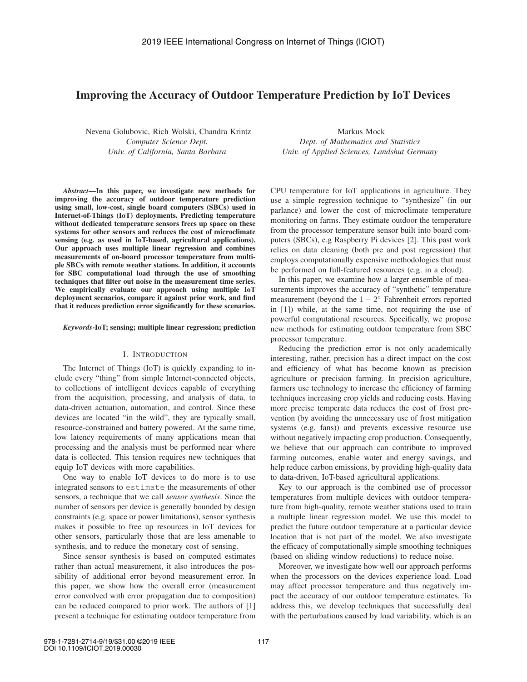# Improving the Accuracy of Outdoor Temperature Prediction by IoT Devices

Nevena Golubovic, Rich Wolski, Chandra Krintz *Computer Science Dept. Univ. of California, Santa Barbara*

*Abstract*—In this paper, we investigate new methods for improving the accuracy of outdoor temperature prediction using small, low-cost, single board computers (SBCs) used in Internet-of-Things (IoT) deployments. Predicting temperature without dedicated temperature sensors frees up space on these systems for other sensors and reduces the cost of microclimate sensing (e.g. as used in IoT-based, agricultural applications). Our approach uses multiple linear regression and combines measurements of on-board processor temperature from multiple SBCs with remote weather stations. In addition, it accounts for SBC computational load through the use of smoothing techniques that filter out noise in the measurement time series. We empirically evaluate our approach using multiple IoT deployment scenarios, compare it against prior work, and find that it reduces prediction error significantly for these scenarios.

### *Keywords*-IoT; sensing; multiple linear regression; prediction

### I. INTRODUCTION

The Internet of Things (IoT) is quickly expanding to include every "thing" from simple Internet-connected objects, to collections of intelligent devices capable of everything from the acquisition, processing, and analysis of data, to data-driven actuation, automation, and control. Since these devices are located "in the wild", they are typically small, resource-constrained and battery powered. At the same time, low latency requirements of many applications mean that processing and the analysis must be performed near where data is collected. This tension requires new techniques that equip IoT devices with more capabilities.

One way to enable IoT devices to do more is to use integrated sensors to estimate the measurements of other sensors, a technique that we call *sensor synthesis*. Since the number of sensors per device is generally bounded by design constraints (e.g. space or power limitations), sensor synthesis makes it possible to free up resources in IoT devices for other sensors, particularly those that are less amenable to synthesis, and to reduce the monetary cost of sensing.

Since sensor synthesis is based on computed estimates rather than actual measurement, it also introduces the possibility of additional error beyond measurement error. In this paper, we show how the overall error (measurement error convolved with error propagation due to composition) can be reduced compared to prior work. The authors of [1] present a technique for estimating outdoor temperature from

Markus Mock *Dept. of Mathematics and Statistics Univ. of Applied Sciences, Landshut Germany*

CPU temperature for IoT applications in agriculture. They use a simple regression technique to "synthesize" (in our parlance) and lower the cost of microclimate temperature monitoring on farms. They estimate outdoor the temperature from the processor temperature sensor built into board computers (SBCs), e.g Raspberry Pi devices [2]. This past work relies on data cleaning (both pre and post regression) that employs computationally expensive methodologies that must be performed on full-featured resources (e.g. in a cloud).

In this paper, we examine how a larger ensemble of measurements improves the accuracy of "synthetic" temperature measurement (beyond the  $1 - 2<sup>°</sup>$  Fahrenheit errors reported in [1]) while, at the same time, not requiring the use of powerful computational resources. Specifically, we propose new methods for estimating outdoor temperature from SBC processor temperature.

Reducing the prediction error is not only academically interesting, rather, precision has a direct impact on the cost and efficiency of what has become known as precision agriculture or precision farming. In precision agriculture, farmers use technology to increase the efficiency of farming techniques increasing crop yields and reducing costs. Having more precise temperate data reduces the cost of frost prevention (by avoiding the unnecessary use of frost mitigation systems (e.g. fans)) and prevents excessive resource use without negatively impacting crop production. Consequently, we believe that our approach can contribute to improved farming outcomes, enable water and energy savings, and help reduce carbon emissions, by providing high-quality data to data-driven, IoT-based agricultural applications.

Key to our approach is the combined use of processor temperatures from multiple devices with outdoor temperature from high-quality, remote weather stations used to train a multiple linear regression model. We use this model to predict the future outdoor temperature at a particular device location that is not part of the model. We also investigate the efficacy of computationally simple smoothing techniques (based on sliding window reductions) to reduce noise.

Moreover, we investigate how well our approach performs when the processors on the devices experience load. Load may affect processor temperature and thus negatively impact the accuracy of our outdoor temperature estimates. To address this, we develop techniques that successfully deal with the perturbations caused by load variability, which is an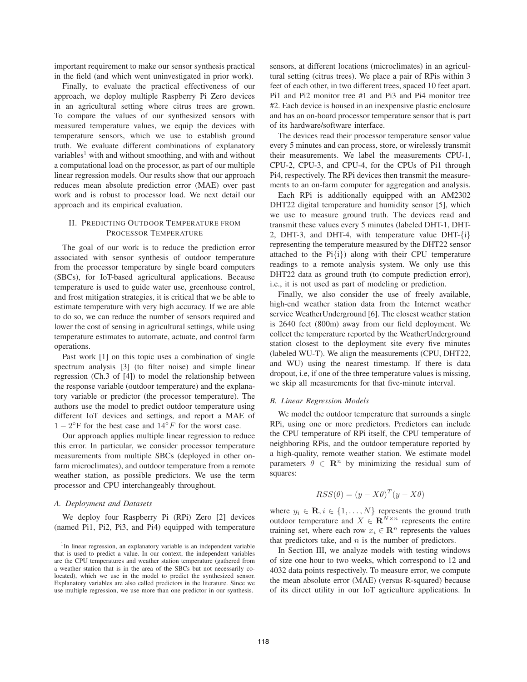important requirement to make our sensor synthesis practical in the field (and which went uninvestigated in prior work).

Finally, to evaluate the practical effectiveness of our approach, we deploy multiple Raspberry Pi Zero devices in an agricultural setting where citrus trees are grown. To compare the values of our synthesized sensors with measured temperature values, we equip the devices with temperature sensors, which we use to establish ground truth. We evaluate different combinations of explanatory variables<sup>1</sup> with and without smoothing, and with and without a computational load on the processor, as part of our multiple linear regression models. Our results show that our approach reduces mean absolute prediction error (MAE) over past work and is robust to processor load. We next detail our approach and its empirical evaluation.

### II. PREDICTING OUTDOOR TEMPERATURE FROM PROCESSOR TEMPERATURE

The goal of our work is to reduce the prediction error associated with sensor synthesis of outdoor temperature from the processor temperature by single board computers (SBCs), for IoT-based agricultural applications. Because temperature is used to guide water use, greenhouse control, and frost mitigation strategies, it is critical that we be able to estimate temperature with very high accuracy. If we are able to do so, we can reduce the number of sensors required and lower the cost of sensing in agricultural settings, while using temperature estimates to automate, actuate, and control farm operations.

Past work [1] on this topic uses a combination of single spectrum analysis [3] (to filter noise) and simple linear regression (Ch.3 of [4]) to model the relationship between the response variable (outdoor temperature) and the explanatory variable or predictor (the processor temperature). The authors use the model to predict outdoor temperature using different IoT devices and settings, and report a MAE of  $1 - 2$ <sup>°</sup>F for the best case and  $14$ <sup>°</sup>F for the worst case.

Our approach applies multiple linear regression to reduce this error. In particular, we consider processor temperature measurements from multiple SBCs (deployed in other onfarm microclimates), and outdoor temperature from a remote weather station, as possible predictors. We use the term processor and CPU interchangeably throughout.

#### *A. Deployment and Datasets*

We deploy four Raspberry Pi (RPi) Zero [2] devices (named Pi1, Pi2, Pi3, and Pi4) equipped with temperature

sensors, at different locations (microclimates) in an agricultural setting (citrus trees). We place a pair of RPis within 3 feet of each other, in two different trees, spaced 10 feet apart. Pi1 and Pi2 monitor tree #1 and Pi3 and Pi4 monitor tree #2. Each device is housed in an inexpensive plastic enclosure and has an on-board processor temperature sensor that is part of its hardware/software interface.

The devices read their processor temperature sensor value every 5 minutes and can process, store, or wirelessly transmit their measurements. We label the measurements CPU-1, CPU-2, CPU-3, and CPU-4, for the CPUs of Pi1 through Pi4, respectively. The RPi devices then transmit the measurements to an on-farm computer for aggregation and analysis.

Each RPi is additionally equipped with an AM2302 DHT22 digital temperature and humidity sensor [5], which we use to measure ground truth. The devices read and transmit these values every 5 minutes (labeled DHT-1, DHT-2, DHT-3, and DHT-4, with temperature value DHT-{i} representing the temperature measured by the DHT22 sensor attached to the  $Pi{i}$ ) along with their CPU temperature readings to a remote analysis system. We only use this DHT22 data as ground truth (to compute prediction error), i.e., it is not used as part of modeling or prediction.

Finally, we also consider the use of freely available, high-end weather station data from the Internet weather service WeatherUnderground [6]. The closest weather station is 2640 feet (800m) away from our field deployment. We collect the temperature reported by the WeatherUnderground station closest to the deployment site every five minutes (labeled WU-T). We align the measurements (CPU, DHT22, and WU) using the nearest timestamp. If there is data dropout, i.e, if one of the three temperature values is missing, we skip all measurements for that five-minute interval.

#### *B. Linear Regression Models*

We model the outdoor temperature that surrounds a single RPi, using one or more predictors. Predictors can include the CPU temperature of RPi itself, the CPU temperature of neighboring RPis, and the outdoor temperature reported by a high-quality, remote weather station. We estimate model parameters  $\theta \in \mathbb{R}^n$  by minimizing the residual sum of squares:

$$
RSS(\theta) = (y - X\theta)^{T} (y - X\theta)
$$

where  $y_i \in \mathbf{R}, i \in \{1, ..., N\}$  represents the ground truth outdoor temperature and  $X \in \mathbb{R}^{N \times n}$  represents the entire training set, where each row  $x_i \in \mathbb{R}^n$  represents the values that predictors take, and  $n$  is the number of predictors.

In Section III, we analyze models with testing windows of size one hour to two weeks, which correspond to 12 and 4032 data points respectively. To measure error, we compute the mean absolute error (MAE) (versus R-squared) because of its direct utility in our IoT agriculture applications. In

<sup>&</sup>lt;sup>1</sup>In linear regression, an explanatory variable is an independent variable that is used to predict a value. In our context, the independent variables are the CPU temperatures and weather station temperature (gathered from a weather station that is in the area of the SBCs but not necessarily colocated), which we use in the model to predict the synthesized sensor. Explanatory variables are also called predictors in the literature. Since we use multiple regression, we use more than one predictor in our synthesis.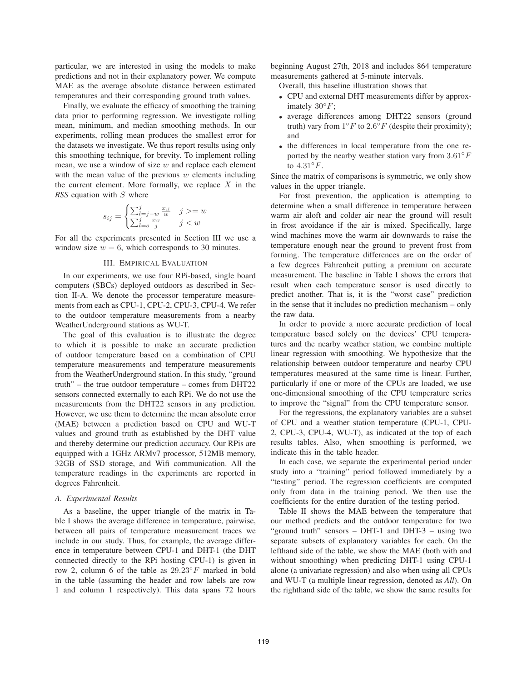particular, we are interested in using the models to make predictions and not in their explanatory power. We compute MAE as the average absolute distance between estimated temperatures and their corresponding ground truth values.

Finally, we evaluate the efficacy of smoothing the training data prior to performing regression. We investigate rolling mean, minimum, and median smoothing methods. In our experiments, rolling mean produces the smallest error for the datasets we investigate. We thus report results using only this smoothing technique, for brevity. To implement rolling mean, we use a window of size  $w$  and replace each element with the mean value of the previous  $w$  elements including the current element. More formally, we replace  $X$  in the *RSS* equation with S where

$$
s_{ij} = \begin{cases} \sum_{l=j-w}^{j} \frac{x_{il}}{w} & j >= w\\ \sum_{l=o}^{j} \frac{x_{il}}{j} & j < w \end{cases}
$$

For all the experiments presented in Section III we use a window size  $w = 6$ , which corresponds to 30 minutes.

### III. EMPIRICAL EVALUATION

In our experiments, we use four RPi-based, single board computers (SBCs) deployed outdoors as described in Section II-A. We denote the processor temperature measurements from each as CPU-1, CPU-2, CPU-3, CPU-4. We refer to the outdoor temperature measurements from a nearby WeatherUnderground stations as WU-T.

The goal of this evaluation is to illustrate the degree to which it is possible to make an accurate prediction of outdoor temperature based on a combination of CPU temperature measurements and temperature measurements from the WeatherUnderground station. In this study, "ground truth" – the true outdoor temperature – comes from DHT22 sensors connected externally to each RPi. We do not use the measurements from the DHT22 sensors in any prediction. However, we use them to determine the mean absolute error (MAE) between a prediction based on CPU and WU-T values and ground truth as established by the DHT value and thereby determine our prediction accuracy. Our RPis are equipped with a 1GHz ARMv7 processor, 512MB memory, 32GB of SSD storage, and Wifi communication. All the temperature readings in the experiments are reported in degrees Fahrenheit.

### *A. Experimental Results*

As a baseline, the upper triangle of the matrix in Table I shows the average difference in temperature, pairwise, between all pairs of temperature measurement traces we include in our study. Thus, for example, the average difference in temperature between CPU-1 and DHT-1 (the DHT connected directly to the RPi hosting CPU-1) is given in row 2, column 6 of the table as  $29.23°F$  marked in bold in the table (assuming the header and row labels are row 1 and column 1 respectively). This data spans 72 hours beginning August 27th, 2018 and includes 864 temperature measurements gathered at 5-minute intervals.

Overall, this baseline illustration shows that

- CPU and external DHT measurements differ by approximately  $30^{\circ}F$ ;
- average differences among DHT22 sensors (ground truth) vary from  $1°F$  to  $2.6°F$  (despite their proximity); and
- the differences in local temperature from the one reported by the nearby weather station vary from  $3.61°F$ to  $4.31^{\circ}F$ .

Since the matrix of comparisons is symmetric, we only show values in the upper triangle.

For frost prevention, the application is attempting to determine when a small difference in temperature between warm air aloft and colder air near the ground will result in frost avoidance if the air is mixed. Specifically, large wind machines move the warm air downwards to raise the temperature enough near the ground to prevent frost from forming. The temperature differences are on the order of a few degrees Fahrenheit putting a premium on accurate measurement. The baseline in Table I shows the errors that result when each temperature sensor is used directly to predict another. That is, it is the "worst case" prediction in the sense that it includes no prediction mechanism – only the raw data.

In order to provide a more accurate prediction of local temperature based solely on the devices' CPU temperatures and the nearby weather station, we combine multiple linear regression with smoothing. We hypothesize that the relationship between outdoor temperature and nearby CPU temperatures measured at the same time is linear. Further, particularly if one or more of the CPUs are loaded, we use one-dimensional smoothing of the CPU temperature series to improve the "signal" from the CPU temperature sensor.

For the regressions, the explanatory variables are a subset of CPU and a weather station temperature (CPU-1, CPU-2, CPU-3, CPU-4, WU-T), as indicated at the top of each results tables. Also, when smoothing is performed, we indicate this in the table header.

In each case, we separate the experimental period under study into a "training" period followed immediately by a "testing" period. The regression coefficients are computed only from data in the training period. We then use the coefficients for the entire duration of the testing period.

Table II shows the MAE between the temperature that our method predicts and the outdoor temperature for two "ground truth" sensors – DHT-1 and DHT-3 – using two separate subsets of explanatory variables for each. On the lefthand side of the table, we show the MAE (both with and without smoothing) when predicting DHT-1 using CPU-1 alone (a univariate regression) and also when using all CPUs and WU-T (a multiple linear regression, denoted as *All*). On the righthand side of the table, we show the same results for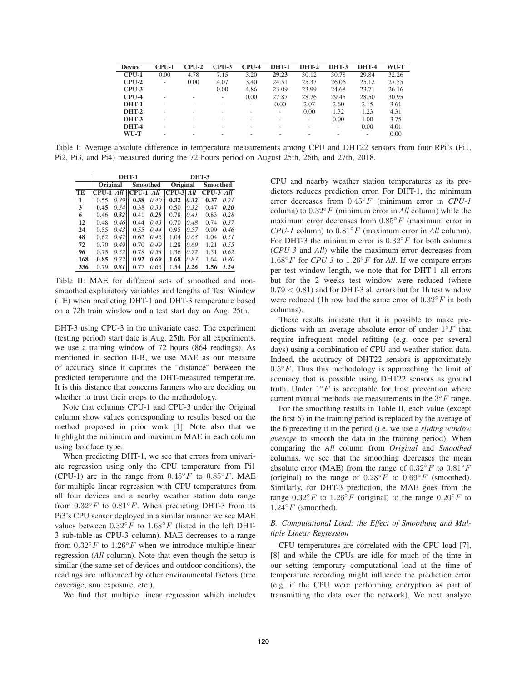| <b>Device</b> | CPU-1             | CPU-2                    | $CPU-3$ | $CPU-4$                  | <b>DHT-1</b>             | <b>DHT-2</b> | <b>DHT-3</b>             | <b>DHT-4</b>             | WU-T  |
|---------------|-------------------|--------------------------|---------|--------------------------|--------------------------|--------------|--------------------------|--------------------------|-------|
| $CPU-1$       | 0.00              | 4.78                     | 7.15    | 3.20                     | 29.23                    | 30.12        | 30.78                    | 29.84                    | 32.26 |
| $CPIJ-2$      | $\qquad \qquad -$ | 0.00                     | 4.07    | 3.40                     | 24.51                    | 25.37        | 26.06                    | 25.12                    | 27.55 |
| $CPU-3$       | -                 | $\overline{\phantom{a}}$ | 0.00    | 4.86                     | 23.09                    | 23.99        | 24.68                    | 23.71                    | 26.16 |
| $CPU-4$       |                   |                          | Ξ.      | 0.00                     | 27.87                    | 28.76        | 29.45                    | 28.50                    | 30.95 |
| <b>DHT-1</b>  |                   |                          |         | $\overline{\phantom{a}}$ | 0.00                     | 2.07         | 2.60                     | 2.15                     | 3.61  |
| <b>DHT-2</b>  |                   |                          |         | $\overline{\phantom{0}}$ | $\overline{\phantom{a}}$ | 0.00         | 1.32                     | 1.23                     | 4.31  |
| DHT-3         | -                 |                          |         |                          | $\overline{\phantom{0}}$ |              | 0.00                     | 1.00                     | 3.75  |
| <b>DHT-4</b>  |                   |                          |         |                          |                          |              | $\overline{\phantom{0}}$ | 0.00                     | 4.01  |
| WU-T          |                   |                          |         |                          |                          |              |                          | $\overline{\phantom{0}}$ | 0.00  |

Table I: Average absolute difference in temperature measurements among CPU and DHT22 sensors from four RPi's (Pi1, Pi2, Pi3, and Pi4) measured during the 72 hours period on August 25th, 26th, and 27th, 2018.

|              |              |      | <b>DHT-1</b>    |      | <b>DHT-3</b>                |      |              |      |  |
|--------------|--------------|------|-----------------|------|-----------------------------|------|--------------|------|--|
|              | Original     |      | <b>Smoothed</b> |      | Original                    |      | Smoothed     |      |  |
| TE           | $CPU-1 $ All |      |                 |      | $CPU-1 $ All $  CPU-3 $ All |      | $CPU-3  All$ |      |  |
| $\mathbf{1}$ | 0.55         | 0.39 | 0.38            | 0.40 | 0.32                        | 0.32 | 0.37         | 0.21 |  |
| 3            | 0.45         | 0.34 | 0.38            | 0.33 | 0.50                        | 0.32 | 0.47         | 0.20 |  |
| 6            | 0.46         | 0.32 | 0.41            | 0.28 | 0.78                        | 0.41 | 0.83         | 0.28 |  |
| 12           | 0.48         | 0.46 | 0.44            | 0.43 | 0.70                        | 0.48 | 0.74         | 0.37 |  |
| 24           | 0.55         | 0.43 | 0.55            | 0.44 | 0.95                        | 0.57 | 0.99         | 0.46 |  |
| 48           | 0.62         | 0.47 | 0.62            | 0.46 | 1.04                        | 0.63 | 1.04         | 0.51 |  |
| 72           | 0.70         | 0.49 | 0.70            | 0.49 | 1.28                        | 0.69 | 1.21         | 0.55 |  |
| 96           | 0.75         | 0.52 | 0.78            | 0.53 | 1.36                        | 0.72 | 1.31         | 0.62 |  |
| 168          | 0.85         | 0.72 | 0.92            | 0.69 | 1.68                        | 0.83 | 1.64         | 0.80 |  |
| 336          | 0.79         | 0.81 | 0.77            | 0.66 | 1.54                        | 1.26 | 1.56         | 1.24 |  |

Table II: MAE for different sets of smoothed and nonsmoothed explanatory variables and lengths of Test Window (TE) when predicting DHT-1 and DHT-3 temperature based on a 72h train window and a test start day on Aug. 25th.

DHT-3 using CPU-3 in the univariate case. The experiment (testing period) start date is Aug. 25th. For all experiments, we use a training window of 72 hours (864 readings). As mentioned in section II-B, we use MAE as our measure of accuracy since it captures the "distance" between the predicted temperature and the DHT-measured temperature. It is this distance that concerns farmers who are deciding on whether to trust their crops to the methodology.

Note that columns CPU-1 and CPU-3 under the Original column show values corresponding to results based on the method proposed in prior work [1]. Note also that we highlight the minimum and maximum MAE in each column using boldface type.

When predicting DHT-1, we see that errors from univariate regression using only the CPU temperature from Pi1 (CPU-1) are in the range from  $0.45 °F$  to  $0.85 °F$ . MAE for multiple linear regression with CPU temperatures from all four devices and a nearby weather station data range from  $0.32 °F$  to  $0.81 °F$ . When predicting DHT-3 from its Pi3's CPU sensor deployed in a similar manner we see MAE values between  $0.32°F$  to  $1.68°F$  (listed in the left DHT-3 sub-table as CPU-3 column). MAE decreases to a range from  $0.32\degree F$  to  $1.26\degree F$  when we introduce multiple linear regression (*All* column). Note that even though the setup is similar (the same set of devices and outdoor conditions), the readings are influenced by other environmental factors (tree coverage, sun exposure, etc.).

We find that multiple linear regression which includes

CPU and nearby weather station temperatures as its predictors reduces prediction error. For DHT-1, the minimum error decreases from 0.45◦F (minimum error in *CPU-1* column) to 0.32◦F (minimum error in *All* column) while the maximum error decreases from  $0.85 °F$  (maximum error in *CPU-1* column) to 0.81◦F (maximum error in *All* column). For DHT-3 the minimum error is  $0.32°F$  for both columns (*CPU-3* and *All*) while the maximum error decreases from 1.68◦F for *CPU-3* to 1.26◦F for *All*. If we compare errors per test window length, we note that for DHT-1 all errors but for the 2 weeks test window were reduced (where  $0.79 < 0.81$ ) and for DHT-3 all errors but for 1h test window were reduced (1h row had the same error of  $0.32\degree F$  in both columns).

These results indicate that it is possible to make predictions with an average absolute error of under  $1°F$  that require infrequent model refitting (e.g. once per several days) using a combination of CPU and weather station data. Indeed, the accuracy of DHT22 sensors is approximately  $0.5\degree F$ . Thus this methodology is approaching the limit of accuracy that is possible using DHT22 sensors as ground truth. Under  $1°F$  is acceptable for frost prevention where current manual methods use measurements in the  $3°F$  range.

For the smoothing results in Table II, each value (except the first 6) in the training period is replaced by the average of the 6 preceding it in the period (i.e. we use a *sliding window average* to smooth the data in the training period). When comparing the *All* column from *Original* and *Smoothed* columns, we see that the smoothing decreases the mean absolute error (MAE) from the range of  $0.32°F$  to  $0.81°F$ (original) to the range of  $0.28 °F$  to  $0.69 °F$  (smoothed). Similarly, for DHT-3 prediction, the MAE goes from the range  $0.32°F$  to  $1.26°F$  (original) to the range  $0.20°F$  to  $1.24 °F$  (smoothed).

# *B. Computational Load: the Effect of Smoothing and Multiple Linear Regression*

CPU temperatures are correlated with the CPU load [7], [8] and while the CPUs are idle for much of the time in our setting temporary computational load at the time of temperature recording might influence the prediction error (e.g. if the CPU were performing encryption as part of transmitting the data over the network). We next analyze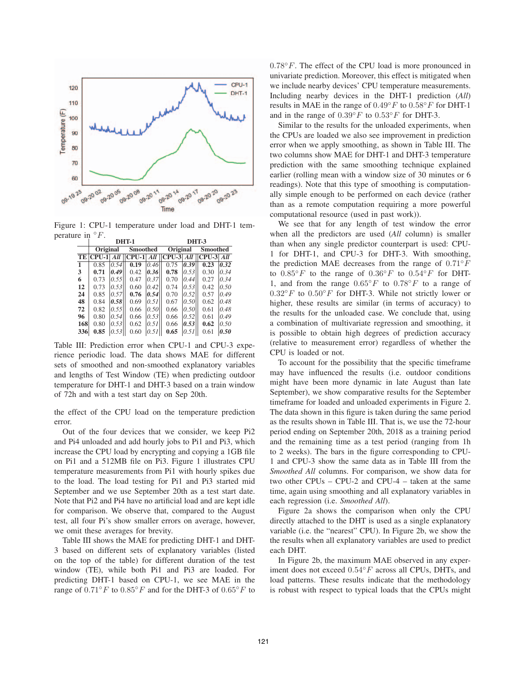

Figure 1: CPU-1 temperature under load and DHT-1 temperature in  $\degree F$ 

| .   |                 |      | <b>DHT-1</b> |                 | <b>DHT-3</b>                |                 |              |                 |  |
|-----|-----------------|------|--------------|-----------------|-----------------------------|-----------------|--------------|-----------------|--|
|     | <b>Original</b> |      |              | <b>Smoothed</b> |                             | <b>Original</b> |              | <b>Smoothed</b> |  |
| TE  | $CPU-1$         | All  |              |                 | $CPU-1   All   CPU-3   All$ |                 | $CPU-3  All$ |                 |  |
| 1   | 0.85            | 0.54 | 0.19         | 0.46            | 0.75                        | 0.39            | 0.23         | 0.32            |  |
| 3   | 0.71            | 0.49 | 0.42         | 0.36            | 0.78                        | 0.53            | 0.30         | 0.34            |  |
| 6   | 0.73            | 0.55 | 0.47         | 0.37            | 0.70                        | 0.44            | 0.27         | 0.34            |  |
| 12  | 0.73            | 0.53 | 0.60         | 0.42            | 0.74                        | 0.53            | 0.42         | 0.50            |  |
| 24  | 0.85            | 0.57 | 0.76         | 0.54            | 0.70                        | 0.52            | 0.57         | 0.49            |  |
| 48  | 0.84            | 0.58 | 0.69         | 0.51            | 0.67                        | 0.50            | 0.62         | 0.48            |  |
| 72  | 0.82            | 0.55 | 0.66         | 0.50            | 0.66                        | 0.50            | 0.61         | 0.48            |  |
| 96  | 0.80            | 0.54 | 0.66         | 0.53            | 0.66                        | 0.52            | 0.61         | 0.49            |  |
| 168 | 0.80            | 0.53 | 0.62         | 0.51            | 0.66                        | 0.53            | 0.62         | 0.50            |  |
| 336 | 0.85            | 0.53 | 0.60         | 0.51            | 0.65                        | 0.51            | 0.61         | 0.50            |  |

Table III: Prediction error when CPU-1 and CPU-3 experience periodic load. The data shows MAE for different sets of smoothed and non-smoothed explanatory variables and lengths of Test Window (TE) when predicting outdoor temperature for DHT-1 and DHT-3 based on a train window of 72h and with a test start day on Sep 20th.

the effect of the CPU load on the temperature prediction error.

Out of the four devices that we consider, we keep Pi2 and Pi4 unloaded and add hourly jobs to Pi1 and Pi3, which increase the CPU load by encrypting and copying a 1GB file on Pi1 and a 512MB file on Pi3. Figure 1 illustrates CPU temperature measurements from Pi1 with hourly spikes due to the load. The load testing for Pi1 and Pi3 started mid September and we use September 20th as a test start date. Note that Pi2 and Pi4 have no artificial load and are kept idle for comparison. We observe that, compared to the August test, all four Pi's show smaller errors on average, however, we omit these averages for brevity.

Table III shows the MAE for predicting DHT-1 and DHT-3 based on different sets of explanatory variables (listed on the top of the table) for different duration of the test window (TE), while both Pi1 and Pi3 are loaded. For predicting DHT-1 based on CPU-1, we see MAE in the range of  $0.71°F$  to  $0.85°F$  and for the DHT-3 of  $0.65°F$  to  $0.78°F$ . The effect of the CPU load is more pronounced in univariate prediction. Moreover, this effect is mitigated when we include nearby devices' CPU temperature measurements. Including nearby devices in the DHT-1 prediction (*All*) results in MAE in the range of  $0.49°F$  to  $0.58°F$  for DHT-1 and in the range of  $0.39° F$  to  $0.53° F$  for DHT-3.

Similar to the results for the unloaded experiments, when the CPUs are loaded we also see improvement in prediction error when we apply smoothing, as shown in Table III. The two columns show MAE for DHT-1 and DHT-3 temperature prediction with the same smoothing technique explained earlier (rolling mean with a window size of 30 minutes or 6 readings). Note that this type of smoothing is computationally simple enough to be performed on each device (rather than as a remote computation requiring a more powerful computational resource (used in past work)).

We see that for any length of test window the error when all the predictors are used (*All* column) is smaller than when any single predictor counterpart is used: CPU-1 for DHT-1, and CPU-3 for DHT-3. With smoothing, the prediction MAE decreases from the range of  $0.71\degree F$ to  $0.85\degree F$  to the range of  $0.36\degree F$  to  $0.54\degree F$  for DHT-1, and from the range  $0.65\degree F$  to  $0.78\degree F$  to a range of  $0.32°F$  to  $0.50°F$  for DHT-3. While not strictly lower or higher, these results are similar (in terms of accuracy) to the results for the unloaded case. We conclude that, using a combination of multivariate regression and smoothing, it is possible to obtain high degrees of prediction accuracy (relative to measurement error) regardless of whether the CPU is loaded or not.

To account for the possibility that the specific timeframe may have influenced the results (i.e. outdoor conditions might have been more dynamic in late August than late September), we show comparative results for the September timeframe for loaded and unloaded experiments in Figure 2. The data shown in this figure is taken during the same period as the results shown in Table III. That is, we use the 72-hour period ending on September 20th, 2018 as a training period and the remaining time as a test period (ranging from 1h to 2 weeks). The bars in the figure corresponding to CPU-1 and CPU-3 show the same data as in Table III from the *Smoothed All* columns. For comparison, we show data for two other CPUs – CPU-2 and CPU-4 – taken at the same time, again using smoothing and all explanatory variables in each regression (i.e. *Smoothed All*).

Figure 2a shows the comparison when only the CPU directly attached to the DHT is used as a single explanatory variable (i.e. the "nearest" CPU). In Figure 2b, we show the the results when all explanatory variables are used to predict each DHT.

In Figure 2b, the maximum MAE observed in any experiment does not exceed  $0.54\degree F$  across all CPUs, DHTs, and load patterns. These results indicate that the methodology is robust with respect to typical loads that the CPUs might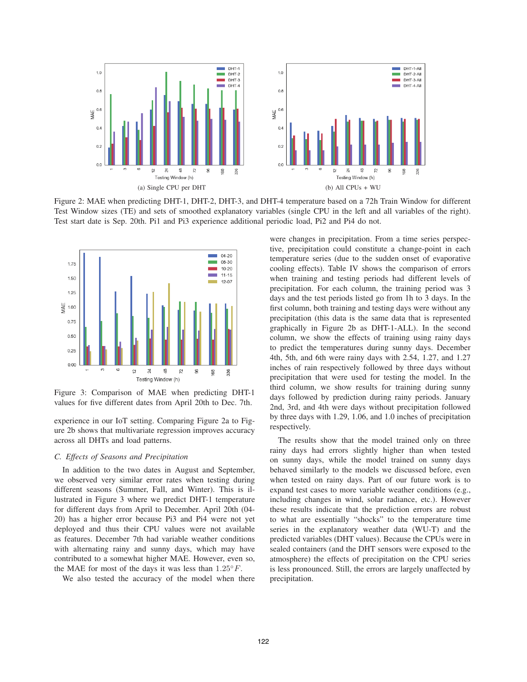

Figure 2: MAE when predicting DHT-1, DHT-2, DHT-3, and DHT-4 temperature based on a 72h Train Window for different Test Window sizes (TE) and sets of smoothed explanatory variables (single CPU in the left and all variables of the right). Test start date is Sep. 20th. Pi1 and Pi3 experience additional periodic load, Pi2 and Pi4 do not.



Figure 3: Comparison of MAE when predicting DHT-1 values for five different dates from April 20th to Dec. 7th.

experience in our IoT setting. Comparing Figure 2a to Figure 2b shows that multivariate regression improves accuracy across all DHTs and load patterns.

### *C. Effects of Seasons and Precipitation*

In addition to the two dates in August and September, we observed very similar error rates when testing during different seasons (Summer, Fall, and Winter). This is illustrated in Figure 3 where we predict DHT-1 temperature for different days from April to December. April 20th (04- 20) has a higher error because Pi3 and Pi4 were not yet deployed and thus their CPU values were not available as features. December 7th had variable weather conditions with alternating rainy and sunny days, which may have contributed to a somewhat higher MAE. However, even so, the MAE for most of the days it was less than  $1.25\degree F$ .

We also tested the accuracy of the model when there

were changes in precipitation. From a time series perspective, precipitation could constitute a change-point in each temperature series (due to the sudden onset of evaporative cooling effects). Table IV shows the comparison of errors when training and testing periods had different levels of precipitation. For each column, the training period was 3 days and the test periods listed go from 1h to 3 days. In the first column, both training and testing days were without any precipitation (this data is the same data that is represented graphically in Figure 2b as DHT-1-ALL). In the second column, we show the effects of training using rainy days to predict the temperatures during sunny days. December 4th, 5th, and 6th were rainy days with 2.54, 1.27, and 1.27 inches of rain respectively followed by three days without precipitation that were used for testing the model. In the third column, we show results for training during sunny days followed by prediction during rainy periods. January 2nd, 3rd, and 4th were days without precipitation followed by three days with 1.29, 1.06, and 1.0 inches of precipitation respectively.

The results show that the model trained only on three rainy days had errors slightly higher than when tested on sunny days, while the model trained on sunny days behaved similarly to the models we discussed before, even when tested on rainy days. Part of our future work is to expand test cases to more variable weather conditions (e.g., including changes in wind, solar radiance, etc.). However these results indicate that the prediction errors are robust to what are essentially "shocks" to the temperature time series in the explanatory weather data (WU-T) and the predicted variables (DHT values). Because the CPUs were in sealed containers (and the DHT sensors were exposed to the atmosphere) the effects of precipitation on the CPU series is less pronounced. Still, the errors are largely unaffected by precipitation.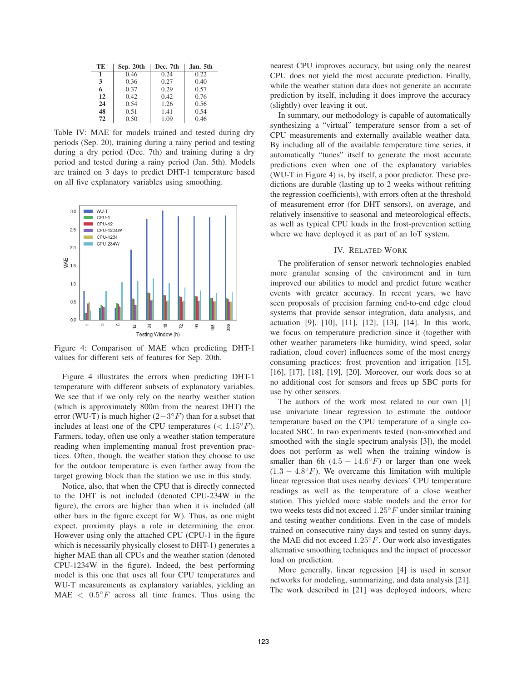| TЕ | Sep. 20th | Dec. 7th | Jan. 5th |
|----|-----------|----------|----------|
| 1  | 0.46      | 0.24     | 0.22     |
| 3  | 0.36      | 0.27     | 0.40     |
| 6  | 0.37      | 0.29     | 0.57     |
| 12 | 0.42      | 0.42     | 0.76     |
| 24 | 0.54      | 1.26     | 0.56     |
| 48 | 0.51      | 1.41     | 0.54     |
| 72 | 0.50      | 1.09     | 0.46     |

Table IV: MAE for models trained and tested during dry periods (Sep. 20), training during a rainy period and testing during a dry period (Dec. 7th) and training during a dry period and tested during a rainy period (Jan. 5th). Models are trained on 3 days to predict DHT-1 temperature based on all five explanatory variables using smoothing.



Figure 4: Comparison of MAE when predicting DHT-1 values for different sets of features for Sep. 20th.

Figure 4 illustrates the errors when predicting DHT-1 temperature with different subsets of explanatory variables. We see that if we only rely on the nearby weather station (which is approximately 800m from the nearest DHT) the error (WU-T) is much higher  $(2-3<sup>$ *o F* $) than for a subset that$ </sup> includes at least one of the CPU temperatures ( $< 1.15°F$ ). Farmers, today, often use only a weather station temperature reading when implementing manual frost prevention practices. Often, though, the weather station they choose to use for the outdoor temperature is even farther away from the target growing block than the station we use in this study.

Notice, also, that when the CPU that is directly connected to the DHT is not included (denoted CPU-234W in the figure), the errors are higher than when it is included (all other bars in the figure except for W). Thus, as one might expect, proximity plays a role in determining the error. However using only the attached CPU (CPU-1 in the figure which is necessarily physically closest to DHT-1) generates a higher MAE than all CPUs and the weather station (denoted CPU-1234W in the figure). Indeed, the best performing model is this one that uses all four CPU temperatures and WU-T measurements as explanatory variables, yielding an MAE  $\langle 0.5\degree F$  across all time frames. Thus using the nearest CPU improves accuracy, but using only the nearest CPU does not yield the most accurate prediction. Finally, while the weather station data does not generate an accurate prediction by itself, including it does improve the accuracy (slightly) over leaving it out.

In summary, our methodology is capable of automatically synthesizing a "virtual" temperature sensor from a set of CPU measurements and externally available weather data. By including all of the available temperature time series, it automatically "tunes" itself to generate the most accurate predictions even when one of the explanatory variables (WU-T in Figure 4) is, by itself, a poor predictor. These predictions are durable (lasting up to 2 weeks without refitting the regression coefficients), with errors often at the threshold of measurement error (for DHT sensors), on average, and relatively insensitive to seasonal and meteorological effects, as well as typical CPU loads in the frost-prevention setting where we have deployed it as part of an IoT system.

### IV. RELATED WORK

The proliferation of sensor network technologies enabled more granular sensing of the environment and in turn improved our abilities to model and predict future weather events with greater accuracy. In recent years, we have seen proposals of precision farming end-to-end edge cloud systems that provide sensor integration, data analysis, and actuation [9], [10], [11], [12], [13], [14]. In this work, we focus on temperature prediction since it (together with other weather parameters like humidity, wind speed, solar radiation, cloud cover) influences some of the most energy consuming practices: frost prevention and irrigation [15], [16], [17], [18], [19], [20]. Moreover, our work does so at no additional cost for sensors and frees up SBC ports for use by other sensors.

The authors of the work most related to our own [1] use univariate linear regression to estimate the outdoor temperature based on the CPU temperature of a single colocated SBC. In two experiments tested (non-smoothed and smoothed with the single spectrum analysis [3]), the model does not perform as well when the training window is smaller than 6h  $(4.5 - 14.6°F)$  or larger than one week  $(1.3 - 4.8°F)$ . We overcame this limitation with multiple linear regression that uses nearby devices' CPU temperature readings as well as the temperature of a close weather station. This yielded more stable models and the error for two weeks tests did not exceed  $1.25^{\circ}F$  under similar training and testing weather conditions. Even in the case of models trained on consecutive rainy days and tested on sunny days, the MAE did not exceed  $1.25\degree F$ . Our work also investigates alternative smoothing techniques and the impact of processor load on prediction.

More generally, linear regression [4] is used in sensor networks for modeling, summarizing, and data analysis [21]. The work described in [21] was deployed indoors, where